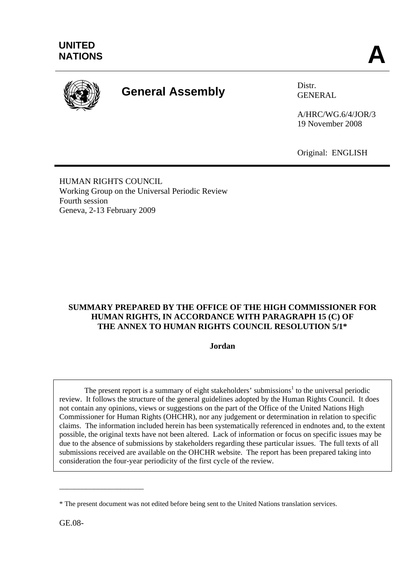

# **General Assembly** Distr.

GENERAL

A/HRC/WG.6/4/JOR/3 19 November 2008

Original: ENGLISH

HUMAN RIGHTS COUNCIL Working Group on the Universal Periodic Review Fourth session Geneva, 2-13 February 2009

# **SUMMARY PREPARED BY THE OFFICE OF THE HIGH COMMISSIONER FOR HUMAN RIGHTS, IN ACCORDANCE WITH PARAGRAPH 15 (C) OF THE ANNEX TO HUMAN RIGHTS COUNCIL RESOLUTION 5/1\***

#### **Jordan**

The present report is a summary of eight stakeholders' submissions<sup>1</sup> to the universal periodic review. It follows the structure of the general guidelines adopted by the Human Rights Council. It does not contain any opinions, views or suggestions on the part of the Office of the United Nations High Commissioner for Human Rights (OHCHR), nor any judgement or determination in relation to specific claims. The information included herein has been systematically referenced in endnotes and, to the extent possible, the original texts have not been altered. Lack of information or focus on specific issues may be due to the absence of submissions by stakeholders regarding these particular issues. The full texts of all submissions received are available on the OHCHR website. The report has been prepared taking into consideration the four-year periodicity of the first cycle of the review.

GE.08-

\_\_\_\_\_\_\_\_\_\_\_\_\_\_\_\_\_\_\_\_\_\_

<sup>\*</sup> The present document was not edited before being sent to the United Nations translation services.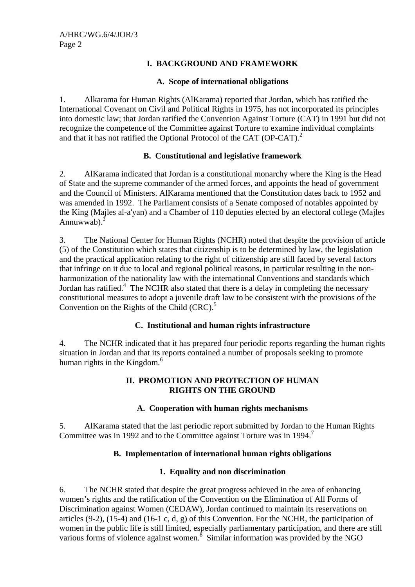# **I. BACKGROUND AND FRAMEWORK**

#### **A. Scope of international obligations**

1. Alkarama for Human Rights (AlKarama) reported that Jordan, which has ratified the International Covenant on Civil and Political Rights in 1975, has not incorporated its principles into domestic law; that Jordan ratified the Convention Against Torture (CAT) in 1991 but did not recognize the competence of the Committee against Torture to examine individual complaints and that it has not ratified the Optional Protocol of the CAT (OP-CAT).<sup>2</sup>

# **B. Constitutional and legislative framework**

2. AlKarama indicated that Jordan is a constitutional monarchy where the King is the Head of State and the supreme commander of the armed forces, and appoints the head of government and the Council of Ministers. AlKarama mentioned that the Constitution dates back to 1952 and was amended in 1992. The Parliament consists of a Senate composed of notables appointed by the King (Majles al-a'yan) and a Chamber of 110 deputies elected by an electoral college (Majles Annuwwab). $3$ 

3. The National Center for Human Rights (NCHR) noted that despite the provision of article (5) of the Constitution which states that citizenship is to be determined by law, the legislation and the practical application relating to the right of citizenship are still faced by several factors that infringe on it due to local and regional political reasons, in particular resulting in the nonharmonization of the nationality law with the international Conventions and standards which Jordan has ratified.<sup>4</sup> The NCHR also stated that there is a delay in completing the necessary constitutional measures to adopt a juvenile draft law to be consistent with the provisions of the Convention on the Rights of the Child  $(CRC)$ .<sup>5</sup>

#### **C. Institutional and human rights infrastructure**

4. The NCHR indicated that it has prepared four periodic reports regarding the human rights situation in Jordan and that its reports contained a number of proposals seeking to promote human rights in the Kingdom.<sup>6</sup>

#### **II. PROMOTION AND PROTECTION OF HUMAN RIGHTS ON THE GROUND**

#### **A. Cooperation with human rights mechanisms**

5. AlKarama stated that the last periodic report submitted by Jordan to the Human Rights Committee was in 1992 and to the Committee against Torture was in 1994.<sup>7</sup>

#### **B. Implementation of international human rights obligations**

#### **1. Equality and non discrimination**

6. The NCHR stated that despite the great progress achieved in the area of enhancing women's rights and the ratification of the Convention on the Elimination of All Forms of Discrimination against Women (CEDAW), Jordan continued to maintain its reservations on articles (9-2), (15-4) and (16-1 c, d, g) of this Convention. For the NCHR, the participation of women in the public life is still limited, especially parliamentary participation, and there are still various forms of violence against women. $\delta$  Similar information was provided by the NGO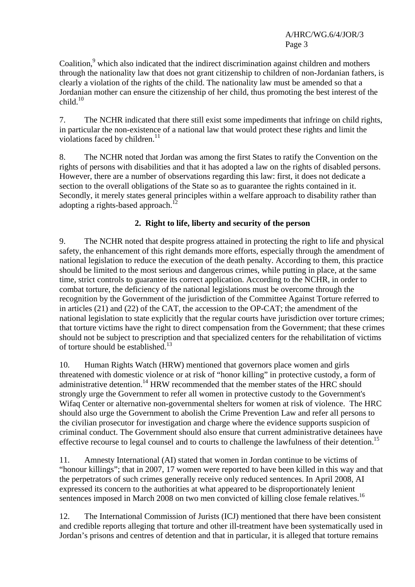A/HRC/WG.6/4/JOR/3 Page 3

Coalition,<sup>9</sup> which also indicated that the indirect discrimination against children and mothers through the nationality law that does not grant citizenship to children of non-Jordanian fathers, is clearly a violation of the rights of the child. The nationality law must be amended so that a Jordanian mother can ensure the citizenship of her child, thus promoting the best interest of the  $child.<sup>10</sup>$ 

7. The NCHR indicated that there still exist some impediments that infringe on child rights, in particular the non-existence of a national law that would protect these rights and limit the violations faced by children.<sup>11</sup>

8. The NCHR noted that Jordan was among the first States to ratify the Convention on the rights of persons with disabilities and that it has adopted a law on the rights of disabled persons. However, there are a number of observations regarding this law: first, it does not dedicate a section to the overall obligations of the State so as to guarantee the rights contained in it. Secondly, it merely states general principles within a welfare approach to disability rather than adopting a rights-based approach.<sup>12</sup>

# **2. Right to life, liberty and security of the person**

9. The NCHR noted that despite progress attained in protecting the right to life and physical safety, the enhancement of this right demands more efforts, especially through the amendment of national legislation to reduce the execution of the death penalty. According to them, this practice should be limited to the most serious and dangerous crimes, while putting in place, at the same time, strict controls to guarantee its correct application. According to the NCHR, in order to combat torture, the deficiency of the national legislations must be overcome through the recognition by the Government of the jurisdiction of the Committee Against Torture referred to in articles (21) and (22) of the CAT, the accession to the OP-CAT; the amendment of the national legislation to state explicitly that the regular courts have jurisdiction over torture crimes; that torture victims have the right to direct compensation from the Government; that these crimes should not be subject to prescription and that specialized centers for the rehabilitation of victims of torture should be established.<sup>13</sup>

10. Human Rights Watch (HRW) mentioned that governors place women and girls threatened with domestic violence or at risk of "honor killing" in protective custody, a form of administrative detention.<sup>14</sup> HRW recommended that the member states of the HRC should strongly urge the Government to refer all women in protective custody to the Government's Wifaq Center or alternative non-governmental shelters for women at risk of violence. The HRC should also urge the Government to abolish the Crime Prevention Law and refer all persons to the civilian prosecutor for investigation and charge where the evidence supports suspicion of criminal conduct. The Government should also ensure that current administrative detainees have effective recourse to legal counsel and to courts to challenge the lawfulness of their detention.<sup>15</sup>

11. Amnesty International (AI) stated that women in Jordan continue to be victims of "honour killings"; that in 2007, 17 women were reported to have been killed in this way and that the perpetrators of such crimes generally receive only reduced sentences. In April 2008, AI expressed its concern to the authorities at what appeared to be disproportionately lenient sentences imposed in March 2008 on two men convicted of killing close female relatives.<sup>16</sup>

12. The International Commission of Jurists (ICJ) mentioned that there have been consistent and credible reports alleging that torture and other ill-treatment have been systematically used in Jordan's prisons and centres of detention and that in particular, it is alleged that torture remains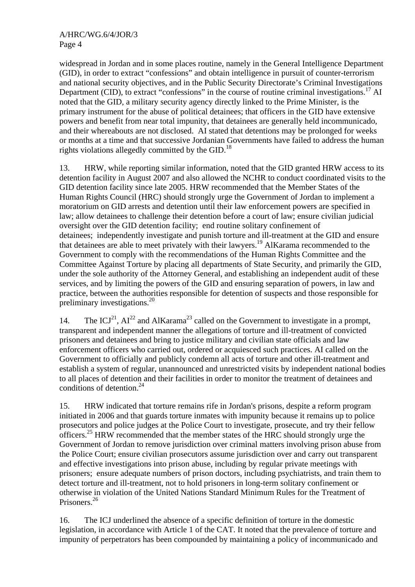widespread in Jordan and in some places routine, namely in the General Intelligence Department (GID), in order to extract "confessions" and obtain intelligence in pursuit of counter-terrorism and national security objectives, and in the Public Security Directorate's Criminal Investigations Department (CID), to extract "confessions" in the course of routine criminal investigations.<sup>17</sup> AI noted that the GID, a military security agency directly linked to the Prime Minister, is the primary instrument for the abuse of political detainees; that officers in the GID have extensive powers and benefit from near total impunity, that detainees are generally held incommunicado, and their whereabouts are not disclosed. AI stated that detentions may be prolonged for weeks or months at a time and that successive Jordanian Governments have failed to address the human rights violations allegedly committed by the GID.<sup>18</sup>

13. HRW, while reporting similar information, noted that the GID granted HRW access to its detention facility in August 2007 and also allowed the NCHR to conduct coordinated visits to the GID detention facility since late 2005. HRW recommended that the Member States of the Human Rights Council (HRC) should strongly urge the Government of Jordan to implement a moratorium on GID arrests and detention until their law enforcement powers are specified in law; allow detainees to challenge their detention before a court of law; ensure civilian judicial oversight over the GID detention facility; end routine solitary confinement of detainees; independently investigate and punish torture and ill-treatment at the GID and ensure that detainees are able to meet privately with their lawyers.19 AlKarama recommended to the Government to comply with the recommendations of the Human Rights Committee and the Committee Against Torture by placing all departments of State Security, and primarily the GID, under the sole authority of the Attorney General, and establishing an independent audit of these services, and by limiting the powers of the GID and ensuring separation of powers, in law and practice, between the authorities responsible for detention of suspects and those responsible for preliminary investigations.20

14. The ICJ<sup>21</sup>,  $AI^{22}$  and AlKarama<sup>23</sup> called on the Government to investigate in a prompt, transparent and independent manner the allegations of torture and ill-treatment of convicted prisoners and detainees and bring to justice military and civilian state officials and law enforcement officers who carried out, ordered or acquiesced such practices. AI called on the Government to officially and publicly condemn all acts of torture and other ill-treatment and establish a system of regular, unannounced and unrestricted visits by independent national bodies to all places of detention and their facilities in order to monitor the treatment of detainees and conditions of detention.<sup>24</sup>

15. HRW indicated that torture remains rife in Jordan's prisons, despite a reform program initiated in 2006 and that guards torture inmates with impunity because it remains up to police prosecutors and police judges at the Police Court to investigate, prosecute, and try their fellow officers.25 HRW recommended that the member states of the HRC should strongly urge the Government of Jordan to remove jurisdiction over criminal matters involving prison abuse from the Police Court; ensure civilian prosecutors assume jurisdiction over and carry out transparent and effective investigations into prison abuse, including by regular private meetings with prisoners; ensure adequate numbers of prison doctors, including psychiatrists, and train them to detect torture and ill-treatment, not to hold prisoners in long-term solitary confinement or otherwise in violation of the United Nations Standard Minimum Rules for the Treatment of Prisoners.26

16. The ICJ underlined the absence of a specific definition of torture in the domestic legislation, in accordance with Article 1 of the CAT. It noted that the prevalence of torture and impunity of perpetrators has been compounded by maintaining a policy of incommunicado and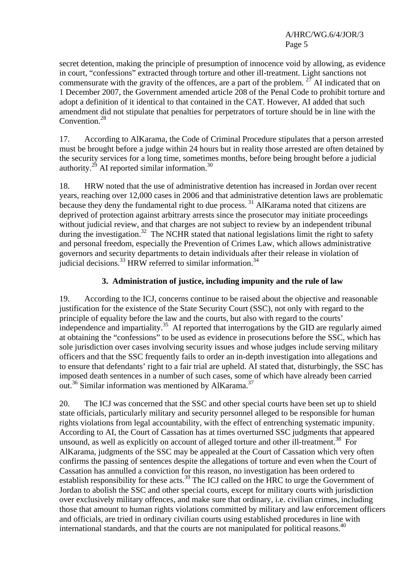A/HRC/WG.6/4/JOR/3 Page 5

secret detention, making the principle of presumption of innocence void by allowing, as evidence in court, "confessions" extracted through torture and other ill-treatment. Light sanctions not commensurate with the gravity of the offences, are a part of the problem. <sup>27</sup> AI indicated that on 1 December 2007, the Government amended article 208 of the Penal Code to prohibit torture and adopt a definition of it identical to that contained in the CAT. However, AI added that such amendment did not stipulate that penalties for perpetrators of torture should be in line with the Convention.<sup>28</sup>

17. According to AlKarama, the Code of Criminal Procedure stipulates that a person arrested must be brought before a judge within 24 hours but in reality those arrested are often detained by the security services for a long time, sometimes months, before being brought before a judicial authority.<sup>29</sup> AI reported similar information.<sup>30</sup>

18. HRW noted that the use of administrative detention has increased in Jordan over recent years, reaching over 12,000 cases in 2006 and that administrative detention laws are problematic because they deny the fundamental right to due process.<sup>31</sup> AlKarama noted that citizens are deprived of protection against arbitrary arrests since the prosecutor may initiate proceedings without judicial review, and that charges are not subject to review by an independent tribunal during the investigation.<sup>32</sup> The NCHR stated that national legislations limit the right to safety and personal freedom, especially the Prevention of Crimes Law, which allows administrative governors and security departments to detain individuals after their release in violation of judicial decisions.<sup>33</sup> HRW referred to similar information.<sup>34</sup>

# **3. Administration of justice, including impunity and the rule of law**

19. According to the ICJ, concerns continue to be raised about the objective and reasonable justification for the existence of the State Security Court (SSC), not only with regard to the principle of equality before the law and the courts, but also with regard to the courts' independence and impartiality.<sup>35</sup> AI reported that interrogations by the GID are regularly aimed at obtaining the "confessions" to be used as evidence in prosecutions before the SSC, which has sole jurisdiction over cases involving security issues and whose judges include serving military officers and that the SSC frequently fails to order an in-depth investigation into allegations and to ensure that defendants' right to a fair trial are upheld. AI stated that, disturbingly, the SSC has imposed death sentences in a number of such cases, some of which have already been carried out.<sup>36</sup> Similar information was mentioned by AlKarama.<sup>37</sup>

20. The ICJ was concerned that the SSC and other special courts have been set up to shield state officials, particularly military and security personnel alleged to be responsible for human rights violations from legal accountability, with the effect of entrenching systematic impunity. According to AI, the Court of Cassation has at times overturned SSC judgments that appeared unsound, as well as explicitly on account of alleged torture and other ill-treatment.<sup>38</sup> For AlKarama, judgments of the SSC may be appealed at the Court of Cassation which very often confirms the passing of sentences despite the allegations of torture and even when the Court of Cassation has annulled a conviction for this reason, no investigation has been ordered to establish responsibility for these acts.<sup>39</sup> The ICJ called on the HRC to urge the Government of Jordan to abolish the SSC and other special courts, except for military courts with jurisdiction over exclusively military offences, and make sure that ordinary, i.e. civilian crimes, including those that amount to human rights violations committed by military and law enforcement officers and officials, are tried in ordinary civilian courts using established procedures in line with international standards, and that the courts are not manipulated for political reasons.<sup>40</sup>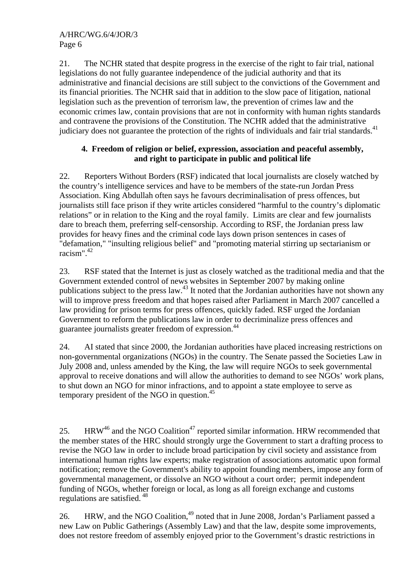21. The NCHR stated that despite progress in the exercise of the right to fair trial, national legislations do not fully guarantee independence of the judicial authority and that its administrative and financial decisions are still subject to the convictions of the Government and its financial priorities. The NCHR said that in addition to the slow pace of litigation, national legislation such as the prevention of terrorism law, the prevention of crimes law and the economic crimes law, contain provisions that are not in conformity with human rights standards and contravene the provisions of the Constitution. The NCHR added that the administrative judiciary does not guarantee the protection of the rights of individuals and fair trial standards.<sup>41</sup>

# **4. Freedom of religion or belief, expression, association and peaceful assembly, and right to participate in public and political life**

22. Reporters Without Borders (RSF) indicated that local journalists are closely watched by the country's intelligence services and have to be members of the state-run Jordan Press Association. King Abdullah often says he favours decriminalisation of press offences, but journalists still face prison if they write articles considered "harmful to the country's diplomatic relations" or in relation to the King and the royal family. Limits are clear and few journalists dare to breach them, preferring self-censorship. According to RSF, the Jordanian press law provides for heavy fines and the criminal code lays down prison sentences in cases of "defamation," "insulting religious belief" and "promoting material stirring up sectarianism or racism".42

23. RSF stated that the Internet is just as closely watched as the traditional media and that the Government extended control of news websites in September 2007 by making online publications subject to the press law.<sup>43</sup> It noted that the Jordanian authorities have not shown any will to improve press freedom and that hopes raised after Parliament in March 2007 cancelled a law providing for prison terms for press offences, quickly faded. RSF urged the Jordanian Government to reform the publications law in order to decriminalize press offences and guarantee journalists greater freedom of expression.44

24. AI stated that since 2000, the Jordanian authorities have placed increasing restrictions on non-governmental organizations (NGOs) in the country. The Senate passed the Societies Law in July 2008 and, unless amended by the King, the law will require NGOs to seek governmental approval to receive donations and will allow the authorities to demand to see NGOs' work plans, to shut down an NGO for minor infractions, and to appoint a state employee to serve as temporary president of the NGO in question.45

25. HRW<sup>46</sup> and the NGO Coalition<sup>47</sup> reported similar information. HRW recommended that the member states of the HRC should strongly urge the Government to start a drafting process to revise the NGO law in order to include broad participation by civil society and assistance from international human rights law experts; make registration of associations automatic upon formal notification; remove the Government's ability to appoint founding members, impose any form of governmental management, or dissolve an NGO without a court order; permit independent funding of NGOs, whether foreign or local, as long as all foreign exchange and customs regulations are satisfied. 48

26. HRW, and the NGO Coalition,<sup>49</sup> noted that in June 2008, Jordan's Parliament passed a new Law on Public Gatherings (Assembly Law) and that the law, despite some improvements, does not restore freedom of assembly enjoyed prior to the Government's drastic restrictions in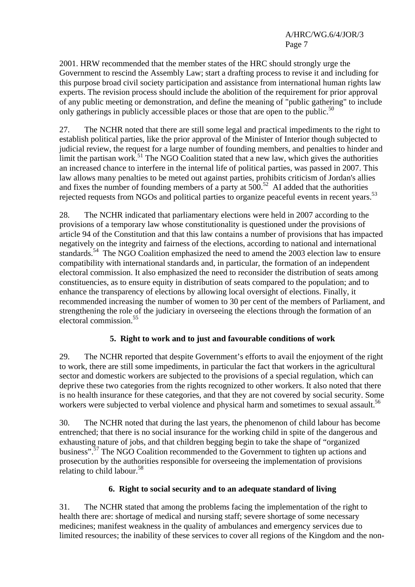2001. HRW recommended that the member states of the HRC should strongly urge the Government to rescind the Assembly Law; start a drafting process to revise it and including for this purpose broad civil society participation and assistance from international human rights law experts. The revision process should include the abolition of the requirement for prior approval of any public meeting or demonstration, and define the meaning of "public gathering" to include only gatherings in publicly accessible places or those that are open to the public.<sup>50</sup>

27. The NCHR noted that there are still some legal and practical impediments to the right to establish political parties, like the prior approval of the Minister of Interior though subjected to judicial review, the request for a large number of founding members, and penalties to hinder and limit the partisan work.<sup>51</sup> The NGO Coalition stated that a new law, which gives the authorities an increased chance to interfere in the internal life of political parties, was passed in 2007. This law allows many penalties to be meted out against parties, prohibits criticism of Jordan's allies and fixes the number of founding members of a party at  $500$ .<sup>52</sup> AI added that the authorities rejected requests from NGOs and political parties to organize peaceful events in recent years.<sup>53</sup>

28. The NCHR indicated that parliamentary elections were held in 2007 according to the provisions of a temporary law whose constitutionality is questioned under the provisions of article 94 of the Constitution and that this law contains a number of provisions that has impacted negatively on the integrity and fairness of the elections, according to national and international standards.<sup>54</sup> The NGO Coalition emphasized the need to amend the 2003 election law to ensure compatibility with international standards and, in particular, the formation of an independent electoral commission. It also emphasized the need to reconsider the distribution of seats among constituencies, as to ensure equity in distribution of seats compared to the population; and to enhance the transparency of elections by allowing local oversight of elections. Finally, it recommended increasing the number of women to 30 per cent of the members of Parliament, and strengthening the role of the judiciary in overseeing the elections through the formation of an electoral commission.55

# **5. Right to work and to just and favourable conditions of work**

29. The NCHR reported that despite Government's efforts to avail the enjoyment of the right to work, there are still some impediments, in particular the fact that workers in the agricultural sector and domestic workers are subjected to the provisions of a special regulation, which can deprive these two categories from the rights recognized to other workers. It also noted that there is no health insurance for these categories, and that they are not covered by social security. Some workers were subjected to verbal violence and physical harm and sometimes to sexual assault.<sup>56</sup>

30. The NCHR noted that during the last years, the phenomenon of child labour has become entrenched; that there is no social insurance for the working child in spite of the dangerous and exhausting nature of jobs, and that children begging begin to take the shape of "organized business".<sup>57</sup> The NGO Coalition recommended to the Government to tighten up actions and prosecution by the authorities responsible for overseeing the implementation of provisions relating to child labour.<sup>58</sup>

# **6. Right to social security and to an adequate standard of living**

31. The NCHR stated that among the problems facing the implementation of the right to health there are: shortage of medical and nursing staff; severe shortage of some necessary medicines; manifest weakness in the quality of ambulances and emergency services due to limited resources; the inability of these services to cover all regions of the Kingdom and the non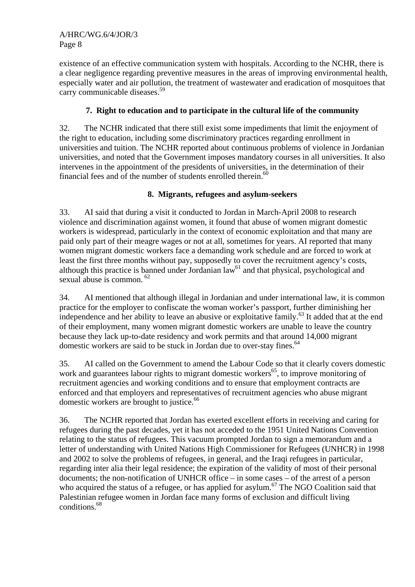existence of an effective communication system with hospitals. According to the NCHR, there is a clear negligence regarding preventive measures in the areas of improving environmental health, especially water and air pollution, the treatment of wastewater and eradication of mosquitoes that carry communicable diseases.<sup>59</sup>

# **7. Right to education and to participate in the cultural life of the community**

32. The NCHR indicated that there still exist some impediments that limit the enjoyment of the right to education, including some discriminatory practices regarding enrollment in universities and tuition. The NCHR reported about continuous problems of violence in Jordanian universities, and noted that the Government imposes mandatory courses in all universities. It also intervenes in the appointment of the presidents of universities, in the determination of their financial fees and of the number of students enrolled therein. $60$ 

# **8. Migrants, refugees and asylum-seekers**

33. AI said that during a visit it conducted to Jordan in March-April 2008 to research violence and discrimination against women, it found that abuse of women migrant domestic workers is widespread, particularly in the context of economic exploitation and that many are paid only part of their meagre wages or not at all, sometimes for years. AI reported that many women migrant domestic workers face a demanding work schedule and are forced to work at least the first three months without pay, supposedly to cover the recruitment agency's costs, although this practice is banned under Jordanian  $law<sup>61</sup>$  and that physical, psychological and sexual abuse is common.<sup>62</sup>

34. AI mentioned that although illegal in Jordanian and under international law, it is common practice for the employer to confiscate the woman worker's passport, further diminishing her independence and her ability to leave an abusive or exploitative family.<sup>63</sup> It added that at the end of their employment, many women migrant domestic workers are unable to leave the country because they lack up-to-date residency and work permits and that around 14,000 migrant domestic workers are said to be stuck in Jordan due to over-stay fines.  $64$ 

35. AI called on the Government to amend the Labour Code so that it clearly covers domestic work and guarantees labour rights to migrant domestic workers<sup>65</sup>, to improve monitoring of recruitment agencies and working conditions and to ensure that employment contracts are enforced and that employers and representatives of recruitment agencies who abuse migrant domestic workers are brought to justice.<sup>66</sup>

36. The NCHR reported that Jordan has exerted excellent efforts in receiving and caring for refugees during the past decades, yet it has not acceded to the 1951 United Nations Convention relating to the status of refugees. This vacuum prompted Jordan to sign a memorandum and a letter of understanding with United Nations High Commissioner for Refugees (UNHCR) in 1998 and 2002 to solve the problems of refugees, in general, and the Iraqi refugees in particular, regarding inter alia their legal residence; the expiration of the validity of most of their personal documents; the non-notification of UNHCR office – in some cases – of the arrest of a person who acquired the status of a refugee, or has applied for asylum.<sup>67</sup> The NGO Coalition said that Palestinian refugee women in Jordan face many forms of exclusion and difficult living conditions.68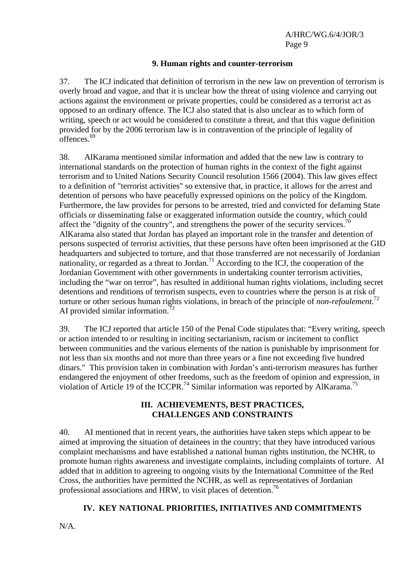A/HRC/WG.6/4/JOR/3 Page 9

#### **9. Human rights and counter-terrorism**

37. The ICJ indicated that definition of terrorism in the new law on prevention of terrorism is overly broad and vague, and that it is unclear how the threat of using violence and carrying out actions against the environment or private properties, could be considered as a terrorist act as opposed to an ordinary offence. The ICJ also stated that is also unclear as to which form of writing, speech or act would be considered to constitute a threat, and that this vague definition provided for by the 2006 terrorism law is in contravention of the principle of legality of  $\overline{\overline{\text{offences}}},$ <sup>69</sup>

38. AlKarama mentioned similar information and added that the new law is contrary to international standards on the protection of human rights in the context of the fight against terrorism and to United Nations Security Council resolution 1566 (2004). This law gives effect to a definition of "terrorist activities" so extensive that, in practice, it allows for the arrest and detention of persons who have peacefully expressed opinions on the policy of the Kingdom. Furthermore, the law provides for persons to be arrested, tried and convicted for defaming State officials or disseminating false or exaggerated information outside the country, which could affect the "dignity of the country", and strengthens the power of the security services.<sup>70</sup> AlKarama also stated that Jordan has played an important role in the transfer and detention of persons suspected of terrorist activities, that these persons have often been imprisoned at the GID headquarters and subjected to torture, and that those transferred are not necessarily of Jordanian nationality, or regarded as a threat to Jordan.<sup>71</sup> According to the ICJ, the cooperation of the Jordanian Government with other governments in undertaking counter terrorism activities, including the "war on terror", has resulted in additional human rights violations, including secret detentions and renditions of terrorism suspects, even to countries where the person is at risk of torture or other serious human rights violations, in breach of the principle of *non-refoulement*. 72 AI provided similar information.<sup>73</sup>

39. The ICJ reported that article 150 of the Penal Code stipulates that: "Every writing, speech or action intended to or resulting in inciting sectarianism, racism or incitement to conflict between communities and the various elements of the nation is punishable by imprisonment for not less than six months and not more than three years or a fine not exceeding five hundred dinars." This provision taken in combination with Jordan's anti-terrorism measures has further endangered the enjoyment of other freedoms, such as the freedom of opinion and expression, in violation of Article 19 of the ICCPR.<sup>74</sup> Similar information was reported by AlKarama.<sup>75</sup>

#### **III. ACHIEVEMENTS, BEST PRACTICES, CHALLENGES AND CONSTRAINTS**

40. AI mentioned that in recent years, the authorities have taken steps which appear to be aimed at improving the situation of detainees in the country; that they have introduced various complaint mechanisms and have established a national human rights institution, the NCHR, to promote human rights awareness and investigate complaints, including complaints of torture. AI added that in addition to agreeing to ongoing visits by the International Committee of the Red Cross, the authorities have permitted the NCHR, as well as representatives of Jordanian professional associations and HRW, to visit places of detention.<sup>76</sup>

#### **IV. KEY NATIONAL PRIORITIES, INITIATIVES AND COMMITMENTS**

N/A.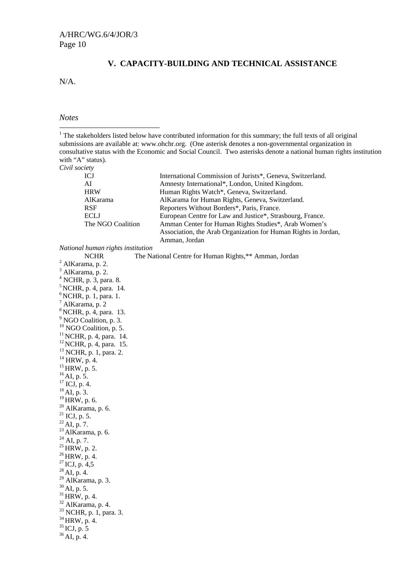# **V. CAPACITY-BUILDING AND TECHNICAL ASSISTANCE**

N/A.

*Notes* 

| <sup>1</sup> The stakeholders listed below have contributed information for this summary; the full texts of all original |
|--------------------------------------------------------------------------------------------------------------------------|
| submissions are available at: www.ohchr.org. (One asterisk denotes a non-governmental organization in                    |
| consultative status with the Economic and Social Council. Two asterisks denote a national human rights institution       |
| with "A" status).                                                                                                        |
| Civil society                                                                                                            |

| Civil Society     |                                                                |
|-------------------|----------------------------------------------------------------|
| ICJ               | International Commission of Jurists*, Geneva, Switzerland.     |
| AI                | Amnesty International*, London, United Kingdom.                |
| <b>HRW</b>        | Human Rights Watch*, Geneva, Switzerland.                      |
| AlKarama          | AlKarama for Human Rights, Geneva, Switzerland.                |
| <b>RSF</b>        | Reporters Without Borders*, Paris, France.                     |
| <b>ECLJ</b>       | European Centre for Law and Justice*, Strasbourg, France.      |
| The NGO Coalition | Amman Center for Human Rights Studies*, Arab Women's           |
|                   | Association, the Arab Organization for Human Rights in Jordan, |
|                   | Amman, Jordan                                                  |

*National human rights institution*

The National Centre for Human Rights,\*\* Amman, Jordan

| <b>NCHR</b>                                                               |  |
|---------------------------------------------------------------------------|--|
| $2$ AlKarama, p. 2.                                                       |  |
| $3$ AlKarama, p. 2.                                                       |  |
| $4$ NCHR, p. 3, para. 8.                                                  |  |
| $5$ NCHR, p. 4, para. 14.                                                 |  |
| $6$ NCHR, p. 1, para. 1.                                                  |  |
| $^7$ AlKarama, p. 2                                                       |  |
| <sup>8</sup> NCHR, p. 4, para. 13.                                        |  |
| <sup>9</sup> NGO Coalition, p. 3.                                         |  |
| <sup>10</sup> NGO Coalition, p. 5.                                        |  |
| <sup>11</sup> NCHR, p. 4, para. 14.                                       |  |
| <sup>12</sup> NCHR, p. 4, para. 15.<br><sup>13</sup> NCHR, p. 1, para. 2. |  |
|                                                                           |  |
| $14$ HRW, p. 4.                                                           |  |
| $15$ HRW, p. 5.                                                           |  |
| $^{16}$ AI, p. 5.                                                         |  |
| $^{17}$ ICJ, p. 4.                                                        |  |
| $^{18}$ AI, p. 3.                                                         |  |
| $19$ HRW, p. 6.                                                           |  |
| $20$ AlKarama, p. 6.                                                      |  |
| $^{21}$ ICJ, p. 5.                                                        |  |
| $^{22}$ AI, p. 7.                                                         |  |
| $23$ AlKarama, p. 6.                                                      |  |
| $^{24}$ AI, p. 7.<br><sup>25</sup> HRW, p. 2.                             |  |
|                                                                           |  |
| $^{26}$ HRW, p. 4.                                                        |  |
| $^{27}$ ICJ, p. 4,5                                                       |  |
| $^{28}$ AI, p. 4.                                                         |  |
| $29$ AlKarama, p. 3.                                                      |  |
| $30$ AI, p. 5.                                                            |  |
| $31$ HRW, p. 4.                                                           |  |
| <sup>32</sup> AlKarama, p. 4.                                             |  |
| <sup>33</sup> NCHR, p. 1, para. 3.                                        |  |
| $34$ HRW, p. 4.                                                           |  |
| $35$ ICJ, p. 5                                                            |  |
| $36$ AI, p. 4.                                                            |  |